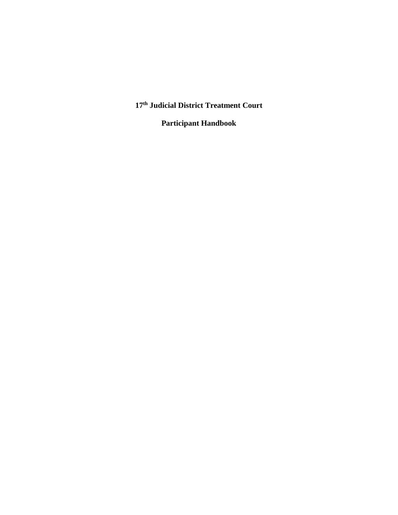**17th Judicial District Treatment Court** 

**Participant Handbook**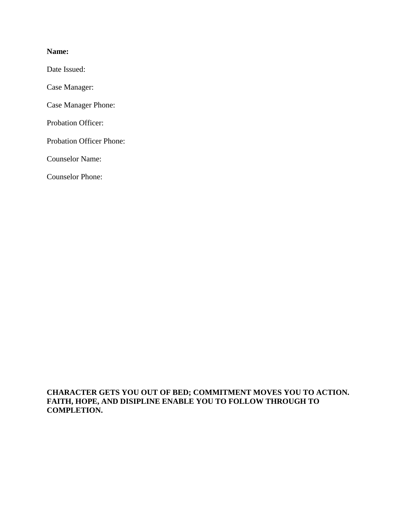#### **Name:**

Date Issued:

Case Manager:

Case Manager Phone:

Probation Officer:

Probation Officer Phone:

Counselor Name:

Counselor Phone:

**CHARACTER GETS YOU OUT OF BED; COMMITMENT MOVES YOU TO ACTION. FAITH, HOPE, AND DISIPLINE ENABLE YOU TO FOLLOW THROUGH TO COMPLETION.**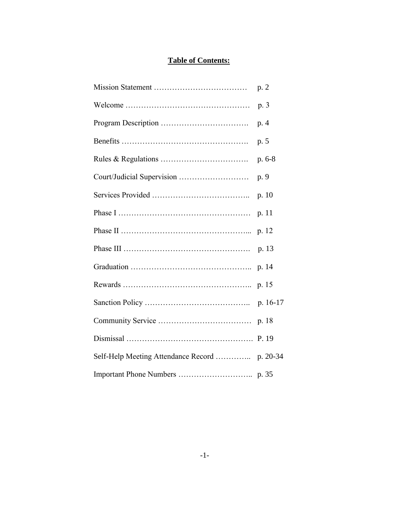### **Table of Contents:**

| p. 2     |
|----------|
| p. 3     |
| p. 4     |
| p. 5     |
| $p.6-8$  |
| p. 9     |
| p. 10    |
| p. 11    |
| p. 12    |
| p. 13    |
| p. 14    |
| p. 15    |
| p. 16-17 |
| p. 18    |
| P. 19    |
|          |
|          |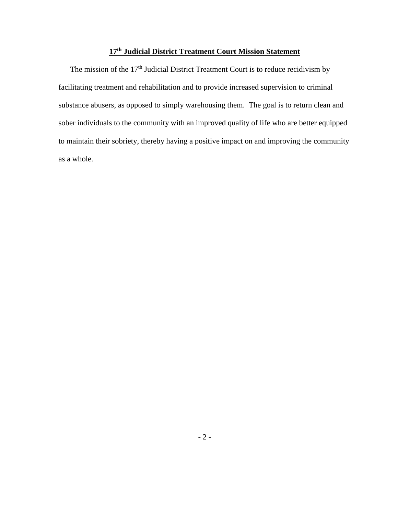### **17th Judicial District Treatment Court Mission Statement**

The mission of the  $17<sup>th</sup>$  Judicial District Treatment Court is to reduce recidivism by facilitating treatment and rehabilitation and to provide increased supervision to criminal substance abusers, as opposed to simply warehousing them. The goal is to return clean and sober individuals to the community with an improved quality of life who are better equipped to maintain their sobriety, thereby having a positive impact on and improving the community as a whole.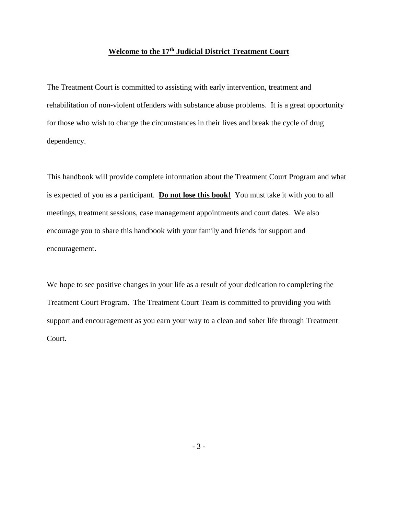#### **Welcome to the 17th Judicial District Treatment Court**

The Treatment Court is committed to assisting with early intervention, treatment and rehabilitation of non-violent offenders with substance abuse problems. It is a great opportunity for those who wish to change the circumstances in their lives and break the cycle of drug dependency.

This handbook will provide complete information about the Treatment Court Program and what is expected of you as a participant. **Do not lose this book!** You must take it with you to all meetings, treatment sessions, case management appointments and court dates. We also encourage you to share this handbook with your family and friends for support and encouragement.

We hope to see positive changes in your life as a result of your dedication to completing the Treatment Court Program. The Treatment Court Team is committed to providing you with support and encouragement as you earn your way to a clean and sober life through Treatment Court.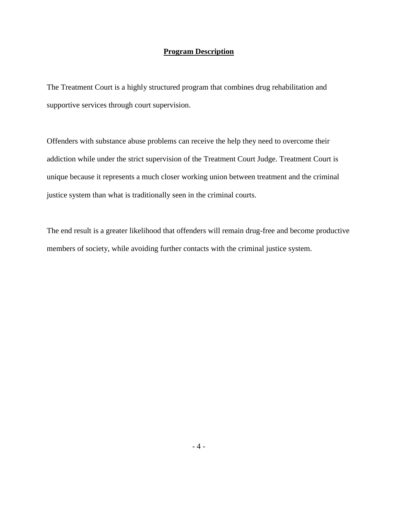#### **Program Description**

The Treatment Court is a highly structured program that combines drug rehabilitation and supportive services through court supervision.

Offenders with substance abuse problems can receive the help they need to overcome their addiction while under the strict supervision of the Treatment Court Judge. Treatment Court is unique because it represents a much closer working union between treatment and the criminal justice system than what is traditionally seen in the criminal courts.

The end result is a greater likelihood that offenders will remain drug-free and become productive members of society, while avoiding further contacts with the criminal justice system.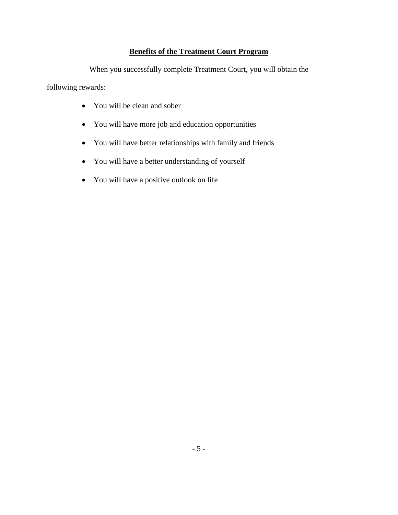### **Benefits of the Treatment Court Program**

When you successfully complete Treatment Court, you will obtain the

following rewards:

- You will be clean and sober
- You will have more job and education opportunities
- You will have better relationships with family and friends
- You will have a better understanding of yourself
- You will have a positive outlook on life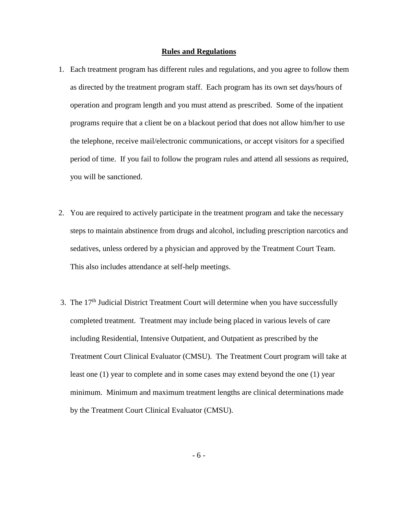#### **Rules and Regulations**

- 1. Each treatment program has different rules and regulations, and you agree to follow them as directed by the treatment program staff. Each program has its own set days/hours of operation and program length and you must attend as prescribed. Some of the inpatient programs require that a client be on a blackout period that does not allow him/her to use the telephone, receive mail/electronic communications, or accept visitors for a specified period of time. If you fail to follow the program rules and attend all sessions as required, you will be sanctioned.
- 2. You are required to actively participate in the treatment program and take the necessary steps to maintain abstinence from drugs and alcohol, including prescription narcotics and sedatives, unless ordered by a physician and approved by the Treatment Court Team. This also includes attendance at self-help meetings.
- 3. The  $17<sup>th</sup>$  Judicial District Treatment Court will determine when you have successfully completed treatment. Treatment may include being placed in various levels of care including Residential, Intensive Outpatient, and Outpatient as prescribed by the Treatment Court Clinical Evaluator (CMSU). The Treatment Court program will take at least one (1) year to complete and in some cases may extend beyond the one (1) year minimum. Minimum and maximum treatment lengths are clinical determinations made by the Treatment Court Clinical Evaluator (CMSU).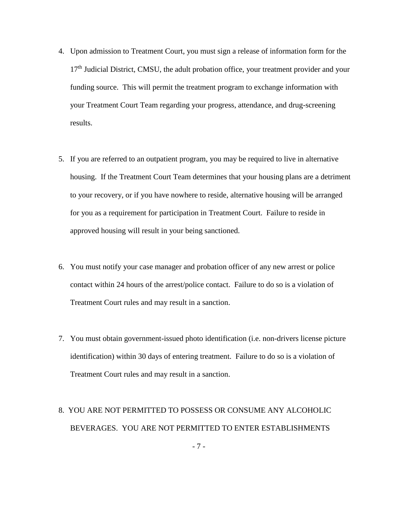- 4. Upon admission to Treatment Court, you must sign a release of information form for the  $17<sup>th</sup>$  Judicial District, CMSU, the adult probation office, your treatment provider and your funding source. This will permit the treatment program to exchange information with your Treatment Court Team regarding your progress, attendance, and drug-screening results.
- 5. If you are referred to an outpatient program, you may be required to live in alternative housing. If the Treatment Court Team determines that your housing plans are a detriment to your recovery, or if you have nowhere to reside, alternative housing will be arranged for you as a requirement for participation in Treatment Court. Failure to reside in approved housing will result in your being sanctioned.
- 6. You must notify your case manager and probation officer of any new arrest or police contact within 24 hours of the arrest/police contact. Failure to do so is a violation of Treatment Court rules and may result in a sanction.
- 7. You must obtain government-issued photo identification (i.e. non-drivers license picture identification) within 30 days of entering treatment. Failure to do so is a violation of Treatment Court rules and may result in a sanction.

### 8. YOU ARE NOT PERMITTED TO POSSESS OR CONSUME ANY ALCOHOLIC BEVERAGES. YOU ARE NOT PERMITTED TO ENTER ESTABLISHMENTS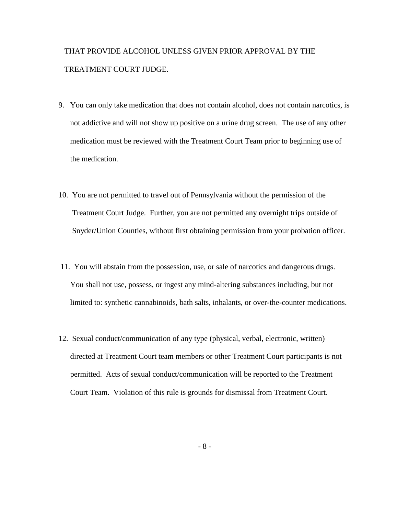### THAT PROVIDE ALCOHOL UNLESS GIVEN PRIOR APPROVAL BY THE TREATMENT COURT JUDGE.

- 9. You can only take medication that does not contain alcohol, does not contain narcotics, is not addictive and will not show up positive on a urine drug screen. The use of any other medication must be reviewed with the Treatment Court Team prior to beginning use of the medication.
- 10. You are not permitted to travel out of Pennsylvania without the permission of the Treatment Court Judge. Further, you are not permitted any overnight trips outside of Snyder/Union Counties, without first obtaining permission from your probation officer.
- 11. You will abstain from the possession, use, or sale of narcotics and dangerous drugs. You shall not use, possess, or ingest any mind-altering substances including, but not limited to: synthetic cannabinoids, bath salts, inhalants, or over-the-counter medications.
- 12. Sexual conduct/communication of any type (physical, verbal, electronic, written) directed at Treatment Court team members or other Treatment Court participants is not permitted. Acts of sexual conduct/communication will be reported to the Treatment Court Team. Violation of this rule is grounds for dismissal from Treatment Court.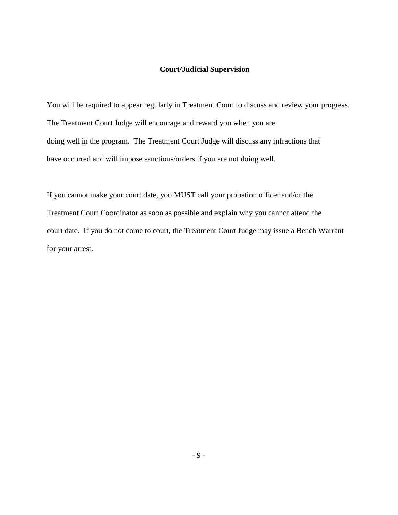### **Court/Judicial Supervision**

You will be required to appear regularly in Treatment Court to discuss and review your progress. The Treatment Court Judge will encourage and reward you when you are doing well in the program. The Treatment Court Judge will discuss any infractions that have occurred and will impose sanctions/orders if you are not doing well.

If you cannot make your court date, you MUST call your probation officer and/or the Treatment Court Coordinator as soon as possible and explain why you cannot attend the court date. If you do not come to court, the Treatment Court Judge may issue a Bench Warrant for your arrest.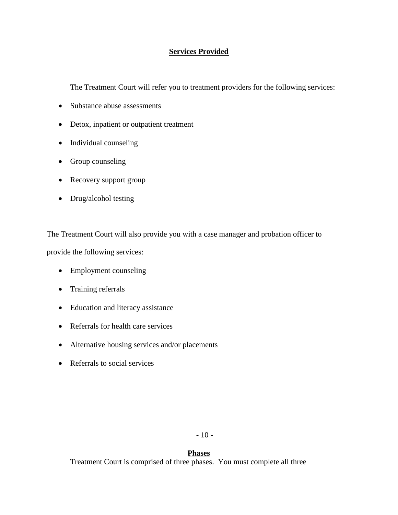### **Services Provided**

The Treatment Court will refer you to treatment providers for the following services:

- Substance abuse assessments
- Detox, inpatient or outpatient treatment
- Individual counseling
- Group counseling
- Recovery support group
- Drug/alcohol testing

The Treatment Court will also provide you with a case manager and probation officer to provide the following services:

- Employment counseling
- Training referrals
- Education and literacy assistance
- Referrals for health care services
- Alternative housing services and/or placements
- Referrals to social services

#### **Phases**

Treatment Court is comprised of three phases. You must complete all three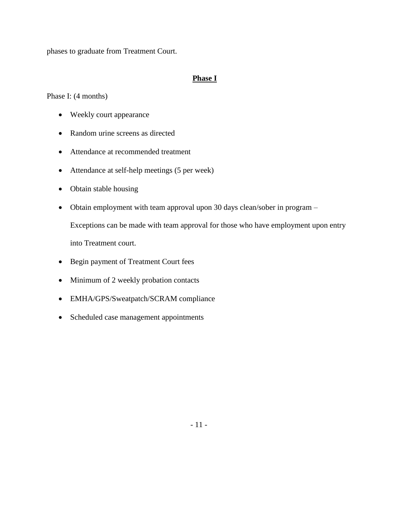phases to graduate from Treatment Court.

#### **Phase I**

Phase I: (4 months)

- Weekly court appearance
- Random urine screens as directed
- Attendance at recommended treatment
- Attendance at self-help meetings (5 per week)
- Obtain stable housing
- Obtain employment with team approval upon 30 days clean/sober in program –

Exceptions can be made with team approval for those who have employment upon entry

into Treatment court.

- Begin payment of Treatment Court fees
- Minimum of 2 weekly probation contacts
- EMHA/GPS/Sweatpatch/SCRAM compliance
- Scheduled case management appointments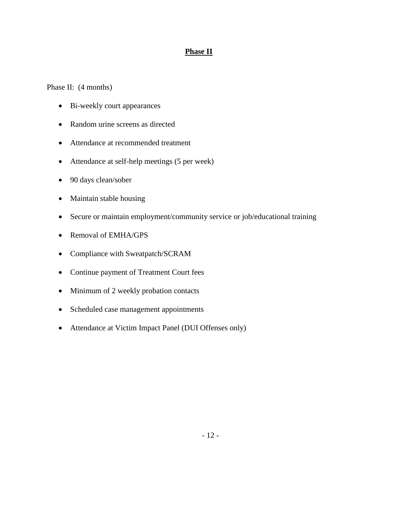### **Phase II**

Phase II:  $(4$  months)

- Bi-weekly court appearances
- Random urine screens as directed
- Attendance at recommended treatment
- Attendance at self-help meetings (5 per week)
- 90 days clean/sober
- Maintain stable housing
- Secure or maintain employment/community service or job/educational training
- Removal of EMHA/GPS
- Compliance with Sweatpatch/SCRAM
- Continue payment of Treatment Court fees
- Minimum of 2 weekly probation contacts
- Scheduled case management appointments
- Attendance at Victim Impact Panel (DUI Offenses only)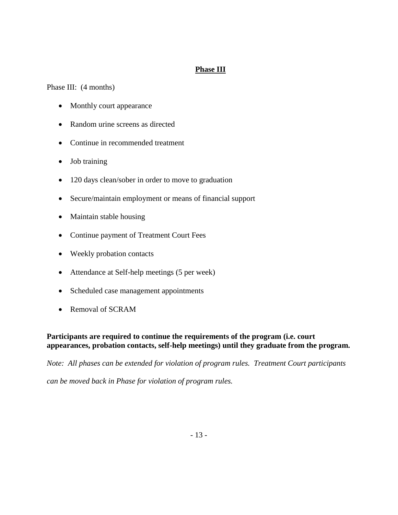### **Phase III**

Phase III: (4 months)

- Monthly court appearance
- Random urine screens as directed
- Continue in recommended treatment
- Job training
- 120 days clean/sober in order to move to graduation
- Secure/maintain employment or means of financial support
- Maintain stable housing
- Continue payment of Treatment Court Fees
- Weekly probation contacts
- Attendance at Self-help meetings (5 per week)
- Scheduled case management appointments
- Removal of SCRAM

#### **Participants are required to continue the requirements of the program (i.e. court appearances, probation contacts, self-help meetings) until they graduate from the program.**

*Note: All phases can be extended for violation of program rules. Treatment Court participants can be moved back in Phase for violation of program rules.*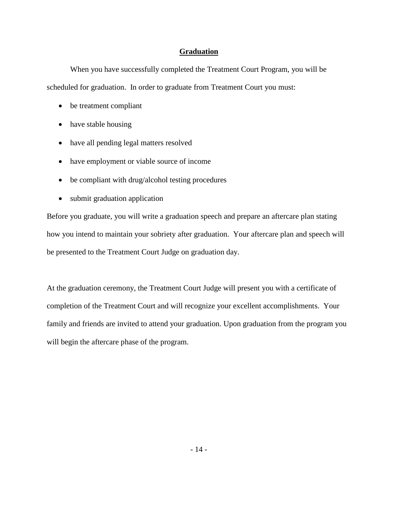#### **Graduation**

When you have successfully completed the Treatment Court Program, you will be scheduled for graduation. In order to graduate from Treatment Court you must:

- be treatment compliant
- have stable housing
- have all pending legal matters resolved
- have employment or viable source of income
- be compliant with drug/alcohol testing procedures
- submit graduation application

Before you graduate, you will write a graduation speech and prepare an aftercare plan stating how you intend to maintain your sobriety after graduation. Your aftercare plan and speech will be presented to the Treatment Court Judge on graduation day.

At the graduation ceremony, the Treatment Court Judge will present you with a certificate of completion of the Treatment Court and will recognize your excellent accomplishments. Your family and friends are invited to attend your graduation. Upon graduation from the program you will begin the aftercare phase of the program.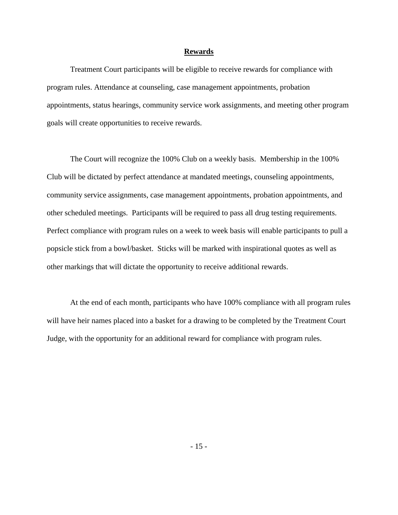#### **Rewards**

Treatment Court participants will be eligible to receive rewards for compliance with program rules. Attendance at counseling, case management appointments, probation appointments, status hearings, community service work assignments, and meeting other program goals will create opportunities to receive rewards.

The Court will recognize the 100% Club on a weekly basis. Membership in the 100% Club will be dictated by perfect attendance at mandated meetings, counseling appointments, community service assignments, case management appointments, probation appointments, and other scheduled meetings. Participants will be required to pass all drug testing requirements. Perfect compliance with program rules on a week to week basis will enable participants to pull a popsicle stick from a bowl/basket. Sticks will be marked with inspirational quotes as well as other markings that will dictate the opportunity to receive additional rewards.

At the end of each month, participants who have 100% compliance with all program rules will have heir names placed into a basket for a drawing to be completed by the Treatment Court Judge, with the opportunity for an additional reward for compliance with program rules.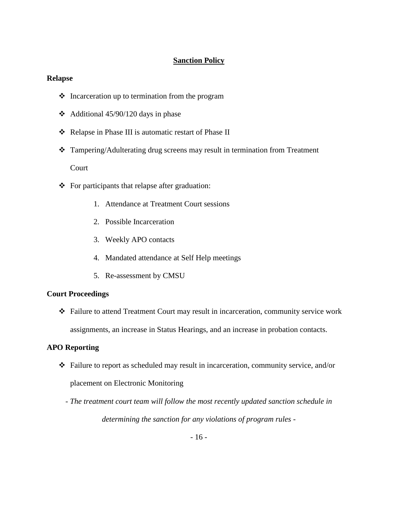#### **Sanction Policy**

#### **Relapse**

- $\triangle$  Incarceration up to termination from the program
- $\triangleleft$  Additional 45/90/120 days in phase
- ❖ Relapse in Phase III is automatic restart of Phase II
- Tampering/Adulterating drug screens may result in termination from Treatment Court
- $\bullet$  For participants that relapse after graduation:
	- 1. Attendance at Treatment Court sessions
	- 2. Possible Incarceration
	- 3. Weekly APO contacts
	- 4. Mandated attendance at Self Help meetings
	- 5. Re-assessment by CMSU

#### **Court Proceedings**

 Failure to attend Treatment Court may result in incarceration, community service work assignments, an increase in Status Hearings, and an increase in probation contacts.

#### **APO Reporting**

- Failure to report as scheduled may result in incarceration, community service, and/or placement on Electronic Monitoring
	- *- The treatment court team will follow the most recently updated sanction schedule in determining the sanction for any violations of program rules -*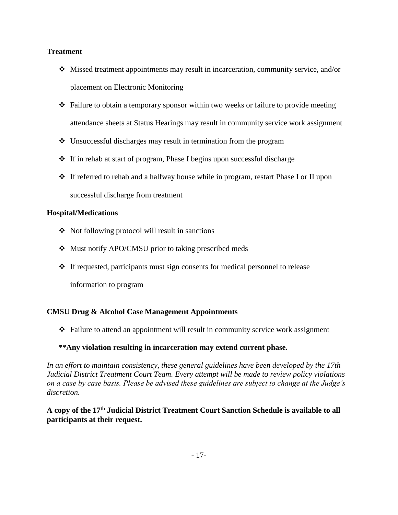#### **Treatment**

- $\div$  Missed treatment appointments may result in incarceration, community service, and/or placement on Electronic Monitoring
- Failure to obtain a temporary sponsor within two weeks or failure to provide meeting attendance sheets at Status Hearings may result in community service work assignment
- Unsuccessful discharges may result in termination from the program
- $\div$  If in rehab at start of program, Phase I begins upon successful discharge
- If referred to rehab and a halfway house while in program, restart Phase I or II upon successful discharge from treatment

#### **Hospital/Medications**

- Not following protocol will result in sanctions
- Must notify APO/CMSU prior to taking prescribed meds
- If requested, participants must sign consents for medical personnel to release

information to program

### **CMSU Drug & Alcohol Case Management Appointments**

Failure to attend an appointment will result in community service work assignment

### **\*\*Any violation resulting in incarceration may extend current phase.**

*In an effort to maintain consistency, these general guidelines have been developed by the 17th Judicial District Treatment Court Team. Every attempt will be made to review policy violations on a case by case basis. Please be advised these guidelines are subject to change at the Judge's discretion.*

**A copy of the 17th Judicial District Treatment Court Sanction Schedule is available to all participants at their request.**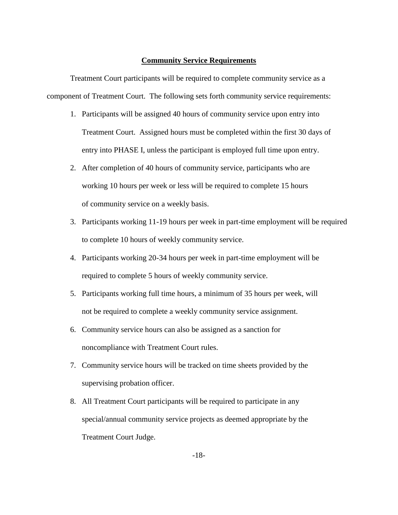#### **Community Service Requirements**

Treatment Court participants will be required to complete community service as a component of Treatment Court. The following sets forth community service requirements:

- 1. Participants will be assigned 40 hours of community service upon entry into Treatment Court. Assigned hours must be completed within the first 30 days of entry into PHASE I, unless the participant is employed full time upon entry.
- 2. After completion of 40 hours of community service, participants who are working 10 hours per week or less will be required to complete 15 hours of community service on a weekly basis.
- 3. Participants working 11-19 hours per week in part-time employment will be required to complete 10 hours of weekly community service.
- 4. Participants working 20-34 hours per week in part-time employment will be required to complete 5 hours of weekly community service.
- 5. Participants working full time hours, a minimum of 35 hours per week, will not be required to complete a weekly community service assignment.
- 6. Community service hours can also be assigned as a sanction for noncompliance with Treatment Court rules.
- 7. Community service hours will be tracked on time sheets provided by the supervising probation officer.
- 8. All Treatment Court participants will be required to participate in any special/annual community service projects as deemed appropriate by the Treatment Court Judge.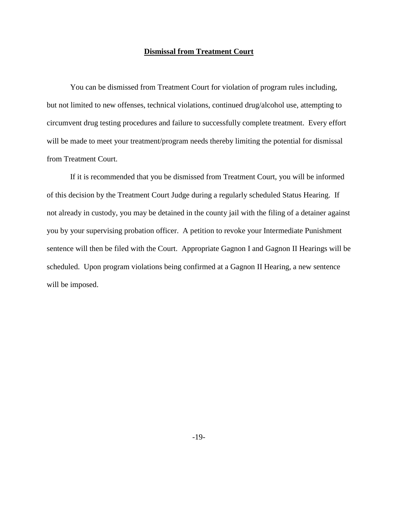#### **Dismissal from Treatment Court**

You can be dismissed from Treatment Court for violation of program rules including, but not limited to new offenses, technical violations, continued drug/alcohol use, attempting to circumvent drug testing procedures and failure to successfully complete treatment. Every effort will be made to meet your treatment/program needs thereby limiting the potential for dismissal from Treatment Court.

If it is recommended that you be dismissed from Treatment Court, you will be informed of this decision by the Treatment Court Judge during a regularly scheduled Status Hearing. If not already in custody, you may be detained in the county jail with the filing of a detainer against you by your supervising probation officer. A petition to revoke your Intermediate Punishment sentence will then be filed with the Court. Appropriate Gagnon I and Gagnon II Hearings will be scheduled. Upon program violations being confirmed at a Gagnon II Hearing, a new sentence will be imposed.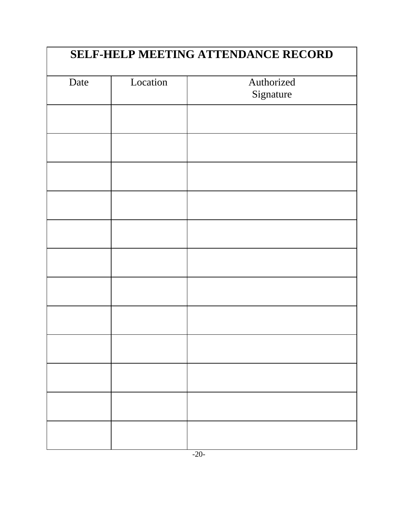| Date | Location | Authorized<br>Signature |
|------|----------|-------------------------|
|      |          |                         |
|      |          |                         |
|      |          |                         |
|      |          |                         |
|      |          |                         |
|      |          |                         |
|      |          |                         |
|      |          |                         |
|      |          |                         |
|      |          |                         |
|      |          |                         |
|      |          |                         |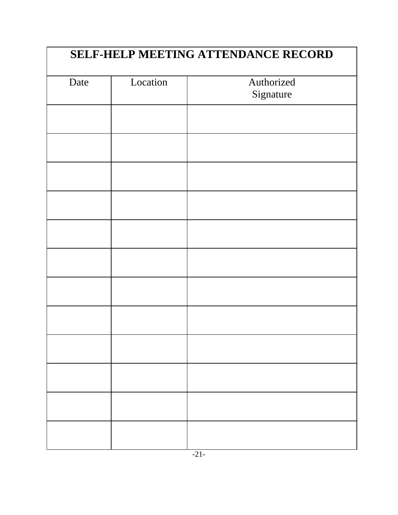| Date | Location | Authorized<br>Signature |
|------|----------|-------------------------|
|      |          |                         |
|      |          |                         |
|      |          |                         |
|      |          |                         |
|      |          |                         |
|      |          |                         |
|      |          |                         |
|      |          |                         |
|      |          |                         |
|      |          |                         |
|      |          |                         |
|      |          |                         |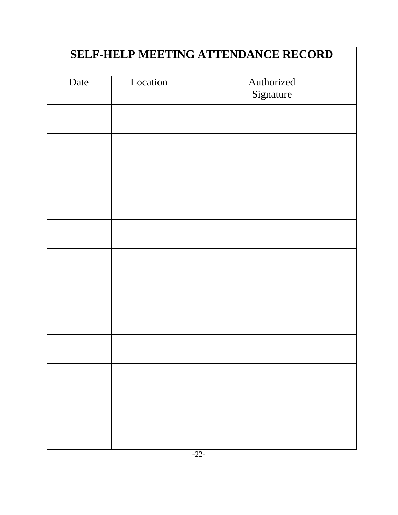| Date | Location | Authorized<br>Signature |
|------|----------|-------------------------|
|      |          |                         |
|      |          |                         |
|      |          |                         |
|      |          |                         |
|      |          |                         |
|      |          |                         |
|      |          |                         |
|      |          |                         |
|      |          |                         |
|      |          |                         |
|      |          |                         |
|      |          |                         |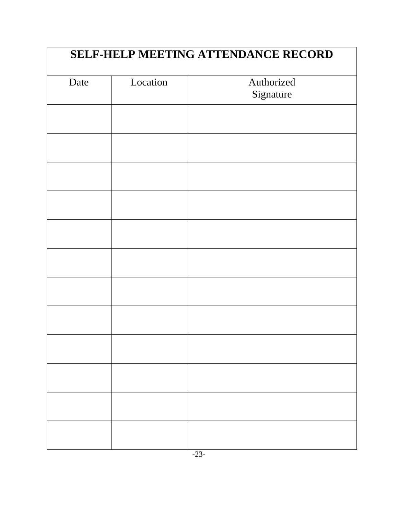| Date | Location | Authorized<br>Signature |
|------|----------|-------------------------|
|      |          |                         |
|      |          |                         |
|      |          |                         |
|      |          |                         |
|      |          |                         |
|      |          |                         |
|      |          |                         |
|      |          |                         |
|      |          |                         |
|      |          |                         |
|      |          |                         |
|      |          |                         |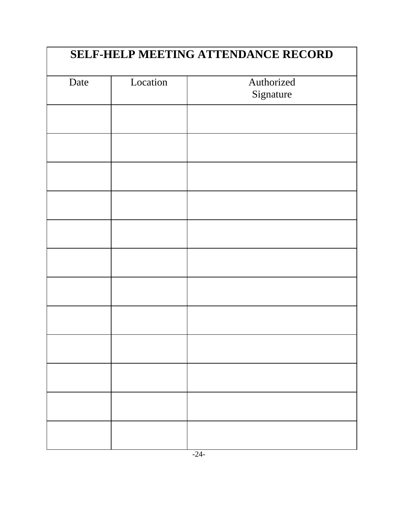| Date | Location | Authorized<br>Signature |
|------|----------|-------------------------|
|      |          |                         |
|      |          |                         |
|      |          |                         |
|      |          |                         |
|      |          |                         |
|      |          |                         |
|      |          |                         |
|      |          |                         |
|      |          |                         |
|      |          |                         |
|      |          |                         |
|      |          |                         |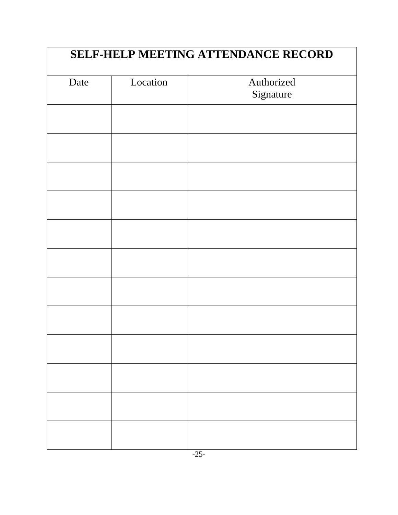| Date | Location | Authorized<br>Signature |
|------|----------|-------------------------|
|      |          |                         |
|      |          |                         |
|      |          |                         |
|      |          |                         |
|      |          |                         |
|      |          |                         |
|      |          |                         |
|      |          |                         |
|      |          |                         |
|      |          |                         |
|      |          |                         |
|      |          |                         |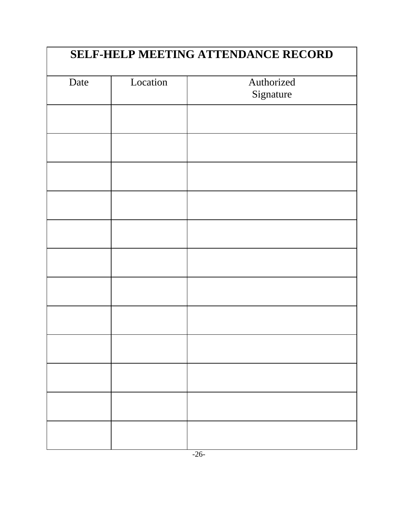| Date | Location | Authorized<br>Signature |
|------|----------|-------------------------|
|      |          |                         |
|      |          |                         |
|      |          |                         |
|      |          |                         |
|      |          |                         |
|      |          |                         |
|      |          |                         |
|      |          |                         |
|      |          |                         |
|      |          |                         |
|      |          |                         |
|      |          |                         |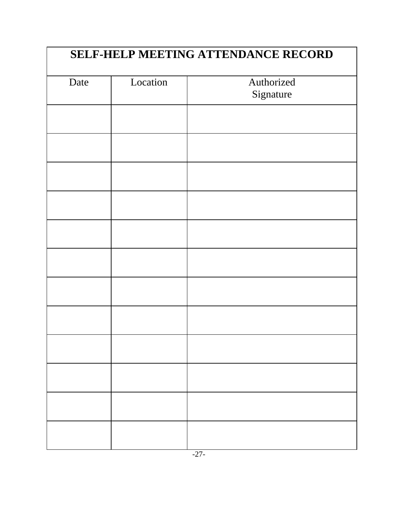| Date | Location | Authorized<br>Signature |
|------|----------|-------------------------|
|      |          |                         |
|      |          |                         |
|      |          |                         |
|      |          |                         |
|      |          |                         |
|      |          |                         |
|      |          |                         |
|      |          |                         |
|      |          |                         |
|      |          |                         |
|      |          |                         |
|      |          |                         |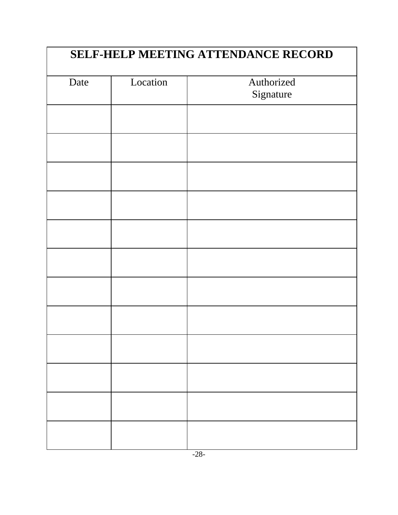| Date | Location | Authorized<br>Signature |
|------|----------|-------------------------|
|      |          |                         |
|      |          |                         |
|      |          |                         |
|      |          |                         |
|      |          |                         |
|      |          |                         |
|      |          |                         |
|      |          |                         |
|      |          |                         |
|      |          |                         |
|      |          |                         |
|      |          |                         |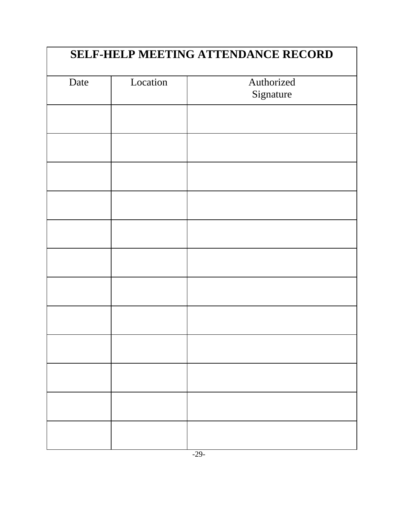| Date | Location | Authorized<br>Signature |
|------|----------|-------------------------|
|      |          |                         |
|      |          |                         |
|      |          |                         |
|      |          |                         |
|      |          |                         |
|      |          |                         |
|      |          |                         |
|      |          |                         |
|      |          |                         |
|      |          |                         |
|      |          |                         |
|      |          |                         |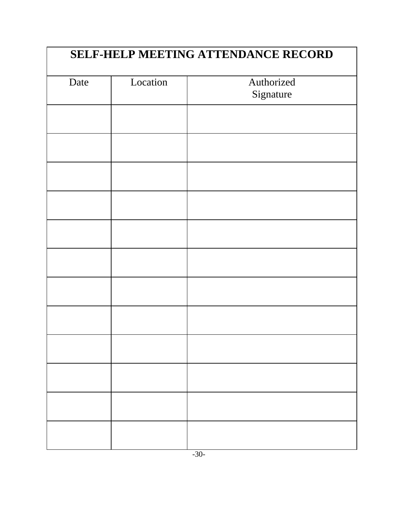| Date | Location | Authorized<br>Signature |
|------|----------|-------------------------|
|      |          |                         |
|      |          |                         |
|      |          |                         |
|      |          |                         |
|      |          |                         |
|      |          |                         |
|      |          |                         |
|      |          |                         |
|      |          |                         |
|      |          |                         |
|      |          |                         |
|      |          |                         |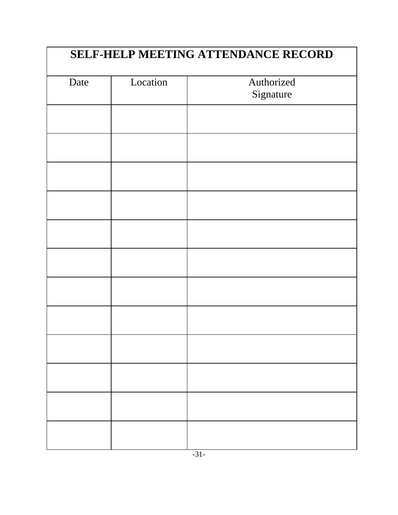| Date | Location | Authorized<br>Signature |
|------|----------|-------------------------|
|      |          |                         |
|      |          |                         |
|      |          |                         |
|      |          |                         |
|      |          |                         |
|      |          |                         |
|      |          |                         |
|      |          |                         |
|      |          |                         |
|      |          |                         |
|      |          |                         |
|      |          |                         |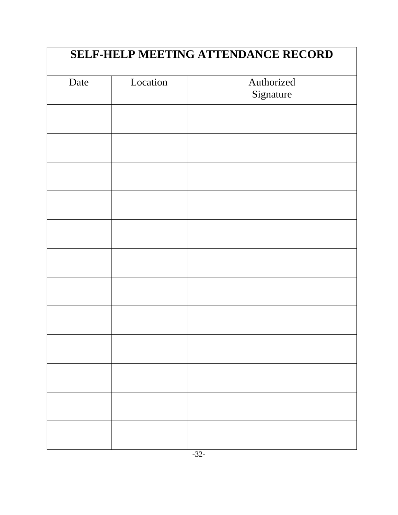| Date | Location | Authorized<br>Signature |
|------|----------|-------------------------|
|      |          |                         |
|      |          |                         |
|      |          |                         |
|      |          |                         |
|      |          |                         |
|      |          |                         |
|      |          |                         |
|      |          |                         |
|      |          |                         |
|      |          |                         |
|      |          |                         |
|      |          |                         |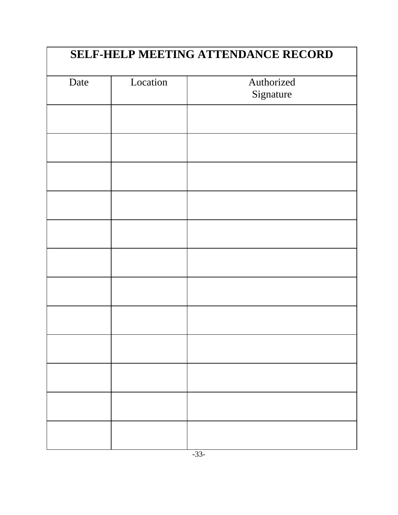| Date | Location | Authorized<br>Signature |
|------|----------|-------------------------|
|      |          |                         |
|      |          |                         |
|      |          |                         |
|      |          |                         |
|      |          |                         |
|      |          |                         |
|      |          |                         |
|      |          |                         |
|      |          |                         |
|      |          |                         |
|      |          |                         |
|      |          |                         |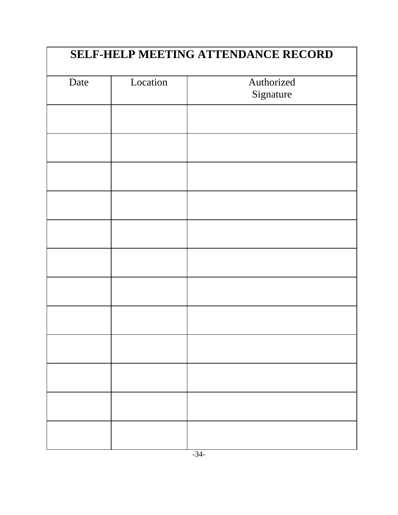| Date | Location | Authorized<br>Signature |
|------|----------|-------------------------|
|      |          |                         |
|      |          |                         |
|      |          |                         |
|      |          |                         |
|      |          |                         |
|      |          |                         |
|      |          |                         |
|      |          |                         |
|      |          |                         |
|      |          |                         |
|      |          |                         |
|      |          |                         |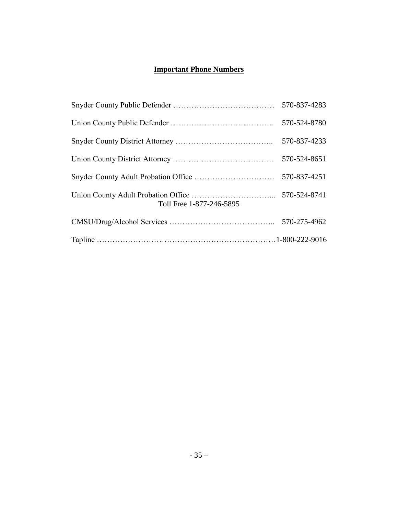### **Important Phone Numbers**

|                          | 570-837-4283 |
|--------------------------|--------------|
|                          | 570-524-8780 |
|                          | 570-837-4233 |
|                          | 570-524-8651 |
|                          | 570-837-4251 |
| Toll Free 1-877-246-5895 | 570-524-8741 |
|                          | 570-275-4962 |
|                          |              |